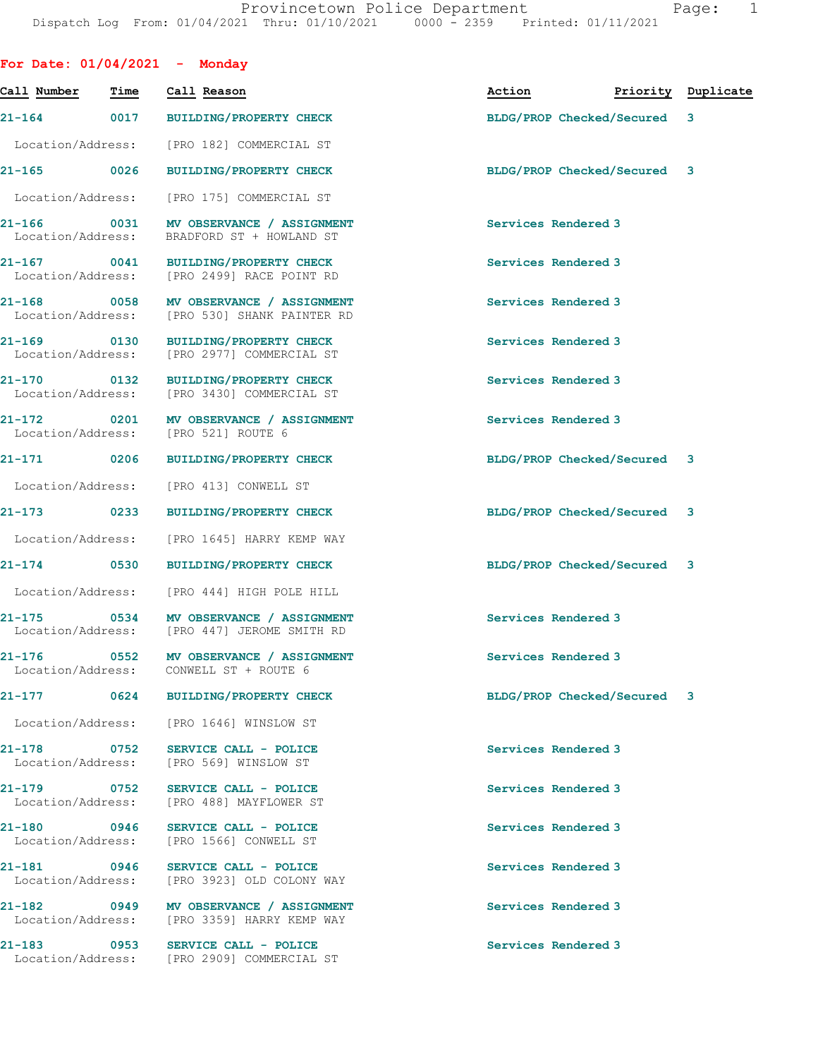|                                  | For Date: $01/04/2021$ - Monday |                                                                                        |                             |  |                    |  |
|----------------------------------|---------------------------------|----------------------------------------------------------------------------------------|-----------------------------|--|--------------------|--|
| Call Number                      | Time                            | Call Reason                                                                            | Action                      |  | Priority Duplicate |  |
|                                  |                                 | 21-164 0017 BUILDING/PROPERTY CHECK                                                    | BLDG/PROP Checked/Secured 3 |  |                    |  |
| Location/Address:                |                                 | [PRO 182] COMMERCIAL ST                                                                |                             |  |                    |  |
| 21-165 0026                      |                                 | <b>BUILDING/PROPERTY CHECK</b>                                                         | BLDG/PROP Checked/Secured 3 |  |                    |  |
|                                  |                                 | Location/Address: [PRO 175] COMMERCIAL ST                                              |                             |  |                    |  |
| Location/Address:                |                                 | 21-166 0031 MV OBSERVANCE / ASSIGNMENT<br>BRADFORD ST + HOWLAND ST                     | Services Rendered 3         |  |                    |  |
| Location/Address:                |                                 | 21-167 0041 BUILDING/PROPERTY CHECK<br>[PRO 2499] RACE POINT RD                        | Services Rendered 3         |  |                    |  |
| 21-168 0058<br>Location/Address: |                                 | MV OBSERVANCE / ASSIGNMENT<br>[PRO 530] SHANK PAINTER RD                               | Services Rendered 3         |  |                    |  |
| 21-169<br>Location/Address:      | 0130                            | BUILDING/PROPERTY CHECK<br>[PRO 2977] COMMERCIAL ST                                    | Services Rendered 3         |  |                    |  |
| 21-170 0132<br>Location/Address: |                                 | <b>BUILDING/PROPERTY CHECK</b><br>[PRO 3430] COMMERCIAL ST                             | Services Rendered 3         |  |                    |  |
| 21-172 0201<br>Location/Address: |                                 | MV OBSERVANCE / ASSIGNMENT<br>[PRO 521] ROUTE 6                                        | Services Rendered 3         |  |                    |  |
| 21-171 0206                      |                                 | BUILDING/PROPERTY CHECK                                                                | BLDG/PROP Checked/Secured 3 |  |                    |  |
|                                  |                                 | Location/Address: [PRO 413] CONWELL ST                                                 |                             |  |                    |  |
|                                  |                                 | 21-173 0233 BUILDING/PROPERTY CHECK                                                    | BLDG/PROP Checked/Secured 3 |  |                    |  |
| Location/Address:                |                                 | [PRO 1645] HARRY KEMP WAY                                                              |                             |  |                    |  |
|                                  |                                 | 21-174 0530 BUILDING/PROPERTY CHECK                                                    | BLDG/PROP Checked/Secured 3 |  |                    |  |
|                                  |                                 | Location/Address: [PRO 444] HIGH POLE HILL                                             |                             |  |                    |  |
|                                  |                                 | Location/Address: [PRO 447] JEROME SMITH RD                                            | Services Rendered 3         |  |                    |  |
|                                  |                                 | 21-176 0552 MV OBSERVANCE / ASSIGNMENT<br>Location/Address: CONWELL ST + ROUTE 6       | Services Rendered 3         |  |                    |  |
|                                  |                                 | 21-177 0624 BUILDING/PROPERTY CHECK                                                    | BLDG/PROP Checked/Secured 3 |  |                    |  |
|                                  |                                 | Location/Address: [PRO 1646] WINSLOW ST                                                |                             |  |                    |  |
|                                  |                                 | 21-178 0752 SERVICE CALL - POLICE<br>Location/Address: [PRO 569] WINSLOW ST            | Services Rendered 3         |  |                    |  |
|                                  |                                 | 21-179 0752 SERVICE CALL - POLICE<br>Location/Address: [PRO 488] MAYFLOWER ST          | Services Rendered 3         |  |                    |  |
|                                  |                                 | 21-180 0946 SERVICE CALL - POLICE<br>Location/Address: [PRO 1566] CONWELL ST           | Services Rendered 3         |  |                    |  |
|                                  |                                 | 21-181 0946 SERVICE CALL - POLICE<br>Location/Address: [PRO 3923] OLD COLONY WAY       | Services Rendered 3         |  |                    |  |
|                                  |                                 | 21-182  0949 MV OBSERVANCE / ASSIGNMENT<br>Location/Address: [PRO 3359] HARRY KEMP WAY | Services Rendered 3         |  |                    |  |
|                                  |                                 | 21-183 0953 SERVICE CALL - POLICE<br>Location/Address: [PRO 2909] COMMERCIAL ST        | Services Rendered 3         |  |                    |  |
|                                  |                                 |                                                                                        |                             |  |                    |  |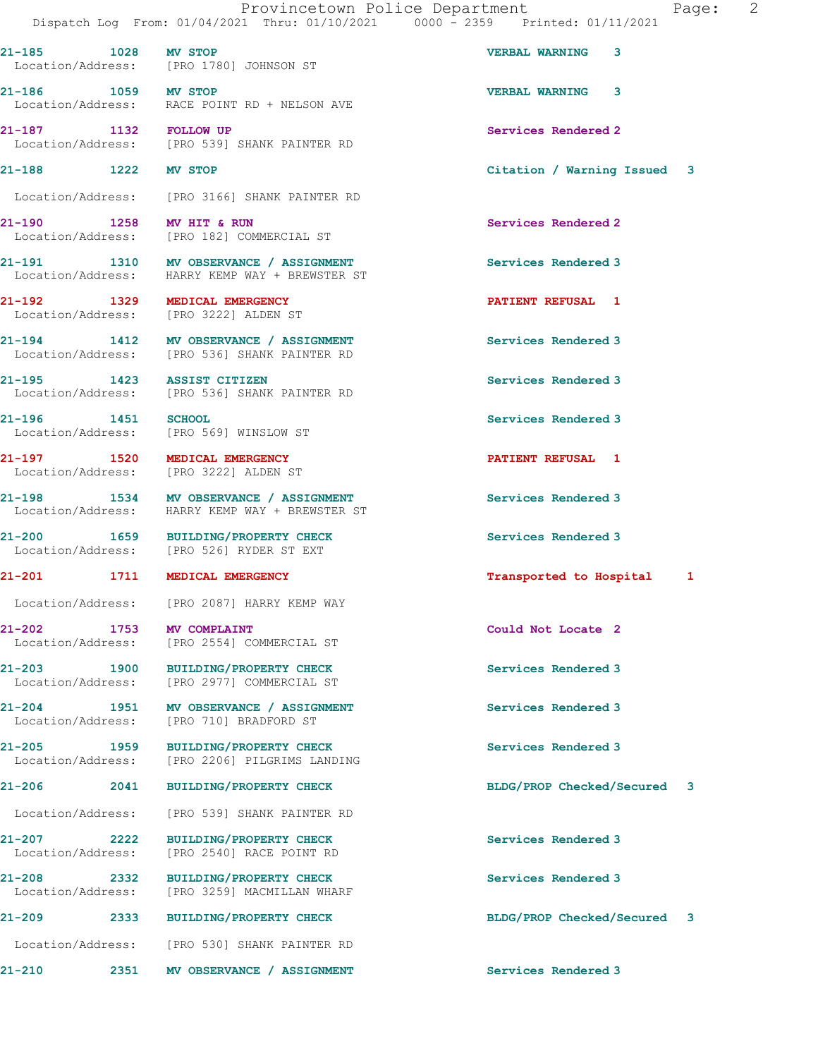Location/Address: [PRO 3166] SHANK PAINTER RD 21-190 1258 MV HIT & RUN Services Rendered 2 Location/Address: [PRO 182] COMMERCIAL ST 21-191 1310 MV OBSERVANCE / ASSIGNMENT Services Rendered 3 Location/Address: HARRY KEMP WAY + BREWSTER ST 21-192 1329 MEDICAL EMERGENCY PATIENT REFUSAL 1 Location/Address: [PRO 3222] ALDEN ST 21-194 1412 MV OBSERVANCE / ASSIGNMENT Services Rendered 3 Location/Address: [PRO 536] SHANK PAINTER RD 21-195 1423 ASSIST CITIZEN Services Rendered 3<br>
Location/Address: [PRO 536] SHANK PAINTER RD [PRO 536] SHANK PAINTER RD 21-196 1451 SCHOOL SERVICES Rendered 3 Location/Address: [PRO 569] WINSLOW ST 21-197 1520 MEDICAL EMERGENCY PATIENT REFUSAL 1 Location/Address: [PRO 3222] ALDEN ST 21-198 1534 MV OBSERVANCE / ASSIGNMENT Services Rendered 3 Location/Address: HARRY KEMP WAY + BREWSTER ST 21-200 1659 BUILDING/PROPERTY CHECK Services Rendered 3<br>
Location/Address: [PRO 526] RYDER ST EXT [PRO 526] RYDER ST EXT 21-201 1711 MEDICAL EMERGENCY 1999 121-201 121-201 121-201 Location/Address: [PRO 2087] HARRY KEMP WAY 21-202 1753 MV COMPLAINT Could Not Locate 2 Location/Address: [PRO 2554] COMMERCIAL ST 21-203 1900 BUILDING/PROPERTY CHECK Services Rendered 3<br>
Location/Address: [PRO 2977] COMMERCIAL ST [PRO 2977] COMMERCIAL ST 21-204 1951 MV OBSERVANCE / ASSIGNMENT Services Rendered 3 Location/Address: [PRO 710] BRADFORD ST 21-205 1959 BUILDING/PROPERTY CHECK Services Rendered 3 Location/Address: [PRO 2206] PILGRIMS LANDING 21-206 2041 BUILDING/PROPERTY CHECK BLDG/PROP Checked/Secured 3 Location/Address: [PRO 539] SHANK PAINTER RD 21-207 2222 BUILDING/PROPERTY CHECK Services Rendered 3 Location/Address: [PRO 2540] RACE POINT RD 21-208 2332 BUILDING/PROPERTY CHECK Services Rendered 3 Location/Address: [PRO 3259] MACMILLAN WHARF 21-209 2333 BUILDING/PROPERTY CHECK BLDG/PROP Checked/Secured 3 Location/Address: [PRO 530] SHANK PAINTER RD 21-210 2351 MV OBSERVANCE / ASSIGNMENT Services Rendered 3

21-185 1028 MV STOP VERBAL WARNING 3 Location/Address: [PRO 1780] JOHNSON ST

21-186 1059 MV STOP VERBAL WARNING 3 Location/Address: RACE POINT RD + NELSON AVE

21-187 1132 FOLLOW UP Services Rendered 2 Location/Address: [PRO 539] SHANK PAINTER RD

21-188 1222 MV STOP Citation / Warning Issued 3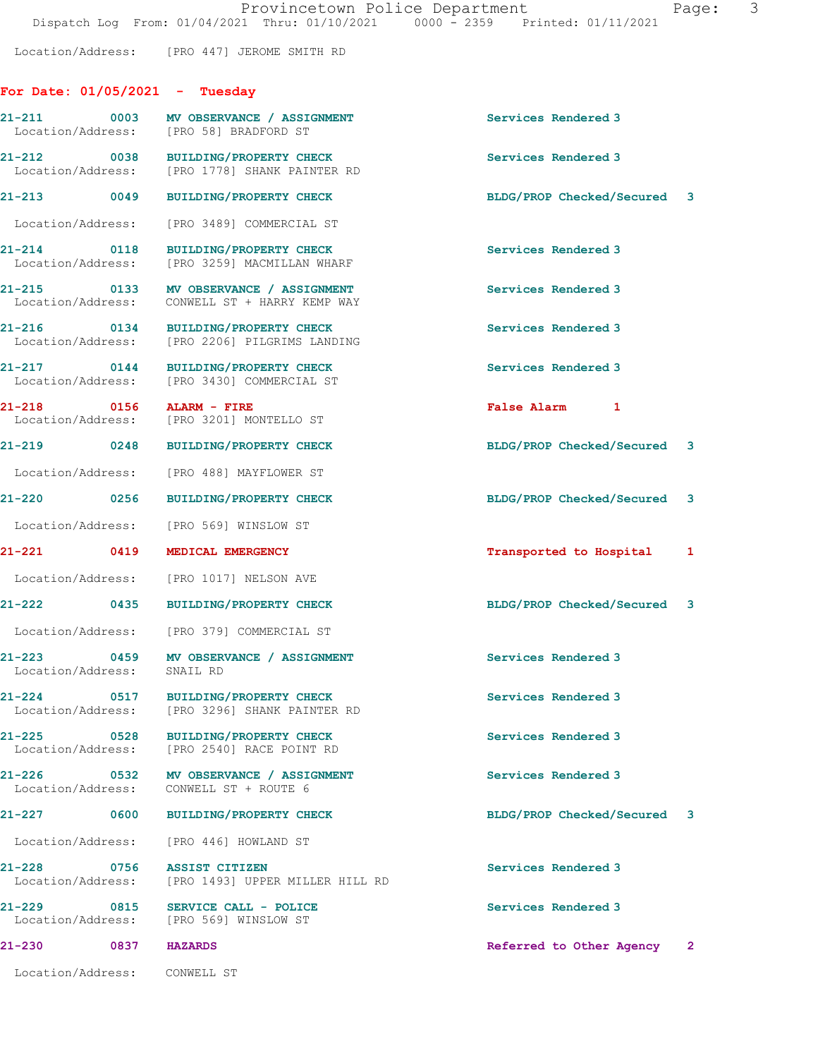Location/Address: [PRO 447] JEROME SMITH RD

## For Date: 01/05/2021 - Tuesday

| 21-211 0003 MV OBSERVANCE / ASSIGNMENT<br>Location/Address: [PRO 58] BRADFORD ST                    | Services Rendered 3                      |
|-----------------------------------------------------------------------------------------------------|------------------------------------------|
| 21-212 0038 BUILDING/PROPERTY CHECK<br>Location/Address: [PRO 1778] SHANK PAINTER RD                | Services Rendered 3                      |
| 21-213 0049 BUILDING/PROPERTY CHECK                                                                 | BLDG/PROP Checked/Secured 3              |
| Location/Address: [PRO 3489] COMMERCIAL ST                                                          |                                          |
| 21-214 0118<br>BUILDING/PROPERTY CHECK<br>Location/Address:<br>[PRO 3259] MACMILLAN WHARF           | Services Rendered 3                      |
| 21-215 0133 MV OBSERVANCE / ASSIGNMENT<br>Location/Address:<br>CONWELL ST + HARRY KEMP WAY          | Services Rendered 3                      |
| 21-216 0134 BUILDING/PROPERTY CHECK<br>Location/Address: [PRO 2206] PILGRIMS LANDING                | Services Rendered 3                      |
| 21-217 0144 BUILDING/PROPERTY CHECK<br>Location/Address: [PRO 3430] COMMERCIAL ST                   | Services Rendered 3                      |
| 21-218 0156 ALARM - FIRE<br>Location/Address: [PRO 3201] MONTELLO ST                                | False Alarm 1                            |
| 21-219 0248 BUILDING/PROPERTY CHECK                                                                 | BLDG/PROP Checked/Secured 3              |
| Location/Address: [PRO 488] MAYFLOWER ST                                                            |                                          |
| 21-220 0256<br><b>BUILDING/PROPERTY CHECK</b>                                                       | BLDG/PROP Checked/Secured 3              |
| Location/Address: [PRO 569] WINSLOW ST                                                              |                                          |
| 21-221 0419 MEDICAL EMERGENCY                                                                       | Transported to Hospital 1                |
| Location/Address: [PRO 1017] NELSON AVE                                                             |                                          |
| 21-222 0435<br>BUILDING/PROPERTY CHECK                                                              | BLDG/PROP Checked/Secured 3              |
| Location/Address: [PRO 379] COMMERCIAL ST                                                           |                                          |
| 21-223 0459<br>MV OBSERVANCE / ASSIGNMENT<br>Location/Address:<br>SNAIL RD                          | Services Rendered 3                      |
| 0517 BUILDING/PROPERTY CHECK<br>[PRO 3296] SHANK PAINTER RD                                         | Services Rendered 3                      |
| <b>BUILDING/PROPERTY CHECK</b><br>$\overline{0}$ 0528<br>Location/Address: [PRO 2540] RACE POINT RD | Services Rendered 3                      |
| 21-226 0532<br>MV OBSERVANCE / ASSIGNMENT<br>CONWELL ST + ROUTE 6<br>Location/Address:              | Services Rendered 3                      |
| <b>BUILDING/PROPERTY CHECK</b><br>0600                                                              | BLDG/PROP Checked/Secured 3              |
| Location/Address:<br>[PRO 446] HOWLAND ST                                                           |                                          |
| 0756<br><b>ASSIST CITIZEN</b><br>Location/Address:<br>[PRO 1493] UPPER MILLER HILL RD               | Services Rendered 3                      |
| 0815<br>SERVICE CALL - POLICE                                                                       | Services Rendered 3                      |
| Location/Address:<br>[PRO 569] WINSLOW ST                                                           |                                          |
| <b>HAZARDS</b>                                                                                      | Referred to Other Agency<br>$\mathbf{2}$ |
|                                                                                                     |                                          |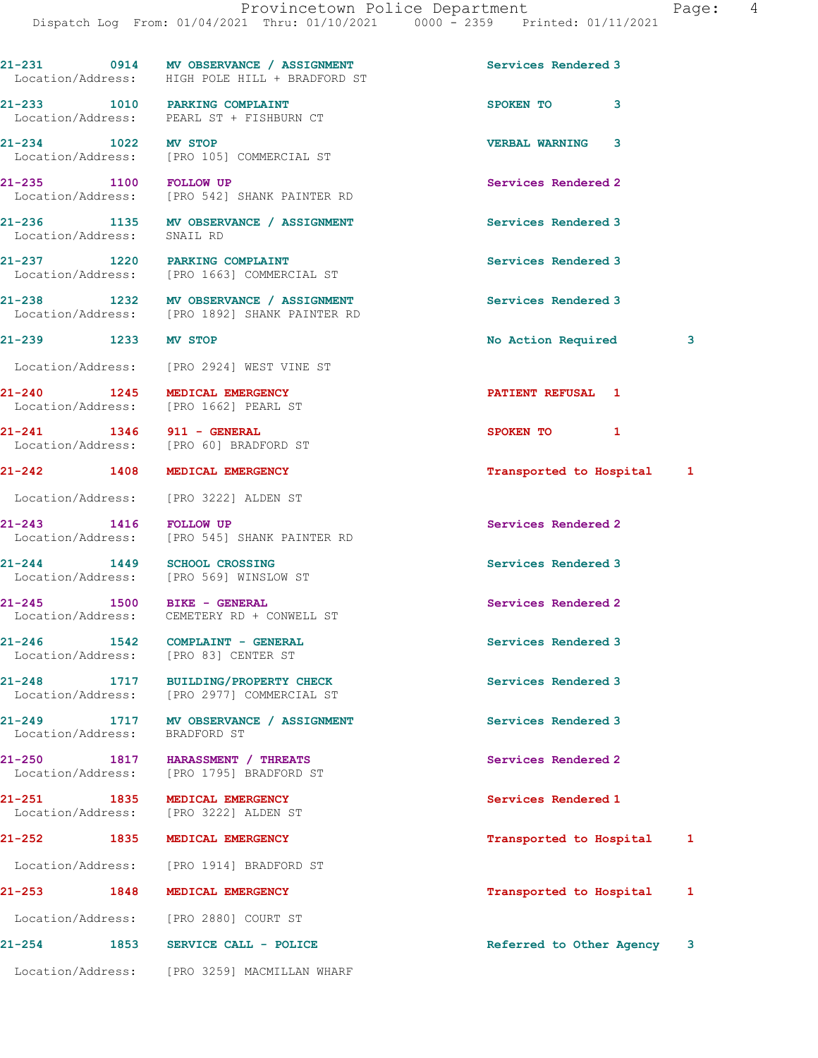|                                 | 21-231 0914 MV OBSERVANCE / ASSIGNMENT<br>Location/Address: HIGH POLE HILL + BRADFORD ST | Services Rendered 3        |   |
|---------------------------------|------------------------------------------------------------------------------------------|----------------------------|---|
|                                 | 21-233 1010 PARKING COMPLAINT<br>Location/Address: PEARL ST + FISHBURN CT                | SPOKEN TO<br>3             |   |
| 21-234 1022 MV STOP             | Location/Address: [PRO 105] COMMERCIAL ST                                                | <b>VERBAL WARNING</b><br>3 |   |
| 21-235 1100 FOLLOW UP           | Location/Address: [PRO 542] SHANK PAINTER RD                                             | Services Rendered 2        |   |
| Location/Address:               | 21-236 1135 MV OBSERVANCE / ASSIGNMENT<br>SNAIL RD                                       | Services Rendered 3        |   |
|                                 | 21-237 1220 PARKING COMPLAINT<br>Location/Address: [PRO 1663] COMMERCIAL ST              | Services Rendered 3        |   |
|                                 | 21-238 1232 MV OBSERVANCE / ASSIGNMENT<br>Location/Address: [PRO 1892] SHANK PAINTER RD  | Services Rendered 3        |   |
| 21-239 1233 MV STOP             |                                                                                          | <b>No Action Required</b>  | 3 |
|                                 | Location/Address: [PRO 2924] WEST VINE ST                                                |                            |   |
|                                 | 21-240 1245 MEDICAL EMERGENCY<br>Location/Address: [PRO 1662] PEARL ST                   | <b>PATIENT REFUSAL 1</b>   |   |
|                                 | 21-241 1346 911 - GENERAL<br>Location/Address: [PRO 60] BRADFORD ST                      | SPOKEN TO 1                |   |
| 21-242 1408                     | MEDICAL EMERGENCY                                                                        | Transported to Hospital 1  |   |
|                                 | Location/Address: [PRO 3222] ALDEN ST                                                    |                            |   |
| 21-243 1416                     | <b>FOLLOW UP</b><br>Location/Address: [PRO 545] SHANK PAINTER RD                         | Services Rendered 2        |   |
| $21 - 244$ 1449                 | <b>SCHOOL CROSSING</b><br>Location/Address: [PRO 569] WINSLOW ST                         | Services Rendered 3        |   |
|                                 | 21-245 1500 BIKE - GENERAL<br>Location/Address: CEMETERY RD + CONWELL ST                 | Services Rendered 2        |   |
| 21-246<br>Location/Address:     | 1542 COMPLAINT - GENERAL<br>[PRO 83] CENTER ST                                           | Services Rendered 3        |   |
| $21 - 248$<br>Location/Address: | 1717<br>BUILDING/PROPERTY CHECK<br>[PRO 2977] COMMERCIAL ST                              | Services Rendered 3        |   |
| 21-249<br>Location/Address:     | 1717 MV OBSERVANCE / ASSIGNMENT<br>BRADFORD ST                                           | Services Rendered 3        |   |
| $21 - 250$<br>Location/Address: | 1817 HARASSMENT / THREATS<br>[PRO 1795] BRADFORD ST                                      | Services Rendered 2        |   |
| 21-251<br>1835                  | MEDICAL EMERGENCY<br>Location/Address: [PRO 3222] ALDEN ST                               | Services Rendered 1        |   |
| 21-252 1835                     | MEDICAL EMERGENCY                                                                        | Transported to Hospital    | 1 |
|                                 | Location/Address: [PRO 1914] BRADFORD ST                                                 |                            |   |
| 21-253<br>1848                  | MEDICAL EMERGENCY                                                                        | Transported to Hospital    | 1 |
|                                 | Location/Address: [PRO 2880] COURT ST                                                    |                            |   |
| 21-254                          | 1853 SERVICE CALL - POLICE                                                               | Referred to Other Agency 3 |   |
|                                 | Location/Address: [PRO 3259] MACMILLAN WHARF                                             |                            |   |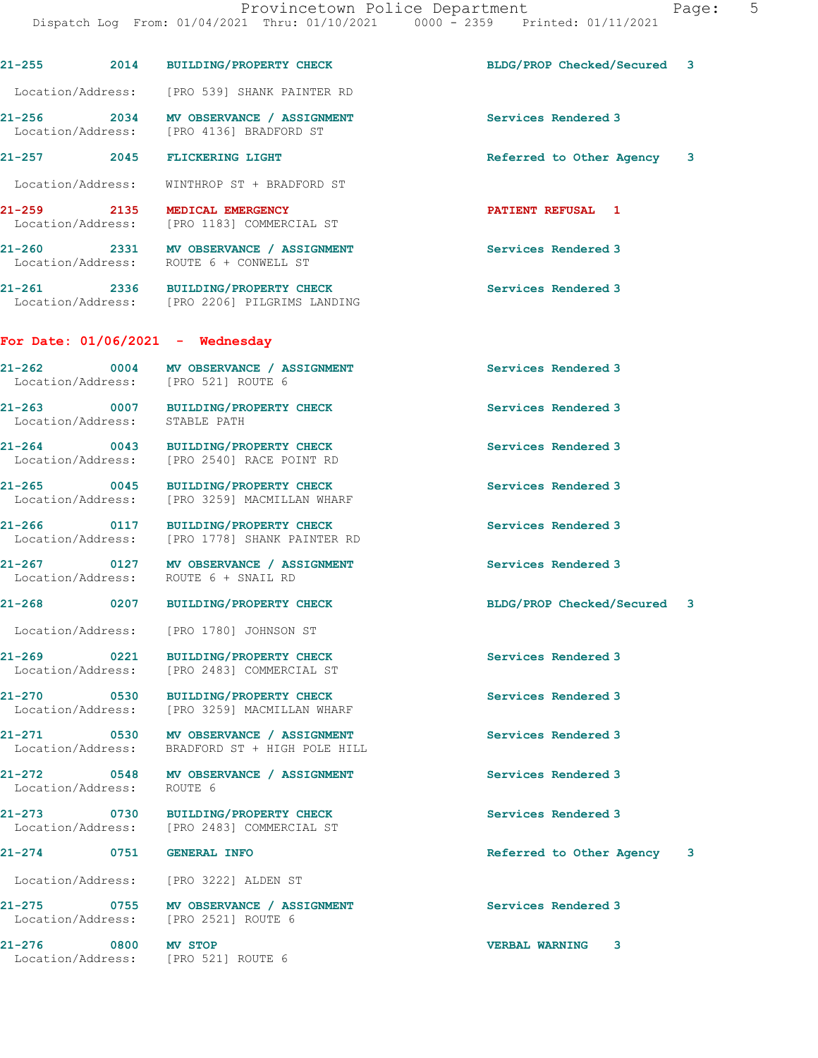21-255 2014 BUILDING/PROPERTY CHECK BLDG/PROP Checked/Secured 3 Location/Address: [PRO 539] SHANK PAINTER RD 21-256 2034 MV OBSERVANCE / ASSIGNMENT Services Rendered 3 Location/Address: [PRO 4136] BRADFORD ST 21-257 2045 FLICKERING LIGHT Referred to Other Agency 3 Location/Address: WINTHROP ST + BRADFORD ST 21-259 2135 MEDICAL EMERGENCY PARTIENT REFUSAL 1 Location/Address: [PRO 1183] COMMERCIAL ST 21-260 2331 MV OBSERVANCE / ASSIGNMENT Services Rendered 3 Location/Address: ROUTE 6 + CONWELL ST 21-261 2336 BUILDING/PROPERTY CHECK 21-261 Services Rendered 3 Location/Address: [PRO 2206] PILGRIMS LANDING For Date: 01/06/2021 - Wednesday 21-262 0004 MV OBSERVANCE / ASSIGNMENT Services Rendered 3 Location/Address: [PRO 521] ROUTE 6 21-263 0007 BUILDING/PROPERTY CHECK Services Rendered 3 Location/Address: STABLE PATH 21-264 0043 BUILDING/PROPERTY CHECK Services Rendered 3 Location/Address: [PRO 2540] RACE POINT RD 21-265 0045 BUILDING/PROPERTY CHECK Services Rendered 3 Location/Address: [PRO 3259] MACMILLAN WHARF 21-266 0117 BUILDING/PROPERTY CHECK Services Rendered 3 Location/Address: [PRO 1778] SHANK PAINTER RD 21-267 0127 MV OBSERVANCE / ASSIGNMENT Services Rendered 3 Location/Address: ROUTE 6 + SNAIL RD 21-268 0207 BUILDING/PROPERTY CHECK BLDG/PROP Checked/Secured 3 Location/Address: [PRO 1780] JOHNSON ST 21-269 0221 BUILDING/PROPERTY CHECK Services Rendered 3 Location/Address: [PRO 2483] COMMERCIAL ST 21-270 0530 BUILDING/PROPERTY CHECK Services Rendered 3 Location/Address: [PRO 3259] MACMILLAN WHARF 21-271 0530 MV OBSERVANCE / ASSIGNMENT Services Rendered 3 Location/Address: BRADFORD ST + HIGH POLE HILL 21-272 0548 MV OBSERVANCE / ASSIGNMENT Services Rendered 3 Location/Address: ROUTE 6 21-273 0730 BUILDING/PROPERTY CHECK Services Rendered 3 Location/Address: [PRO 2483] COMMERCIAL ST 21-274 0751 GENERAL INFO 2008 (Referred to Other Agency 3 Location/Address: [PRO 3222] ALDEN ST 21-275 0755 MV OBSERVANCE / ASSIGNMENT Services Rendered 3 Location/Address: [PRO 2521] ROUTE 6 21-276 0800 MV STOP VERBAL WARNING 3 Location/Address: [PRO 521] ROUTE 6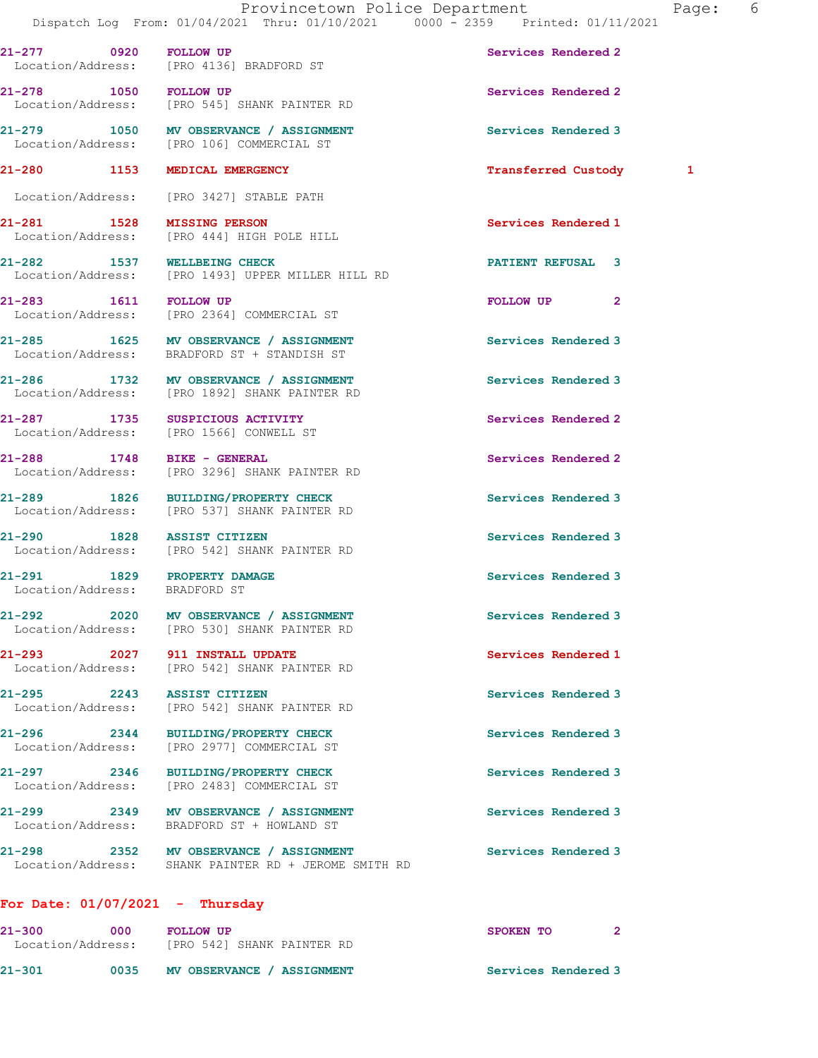| 21-277 0920 FOLLOW UP                                        | Location/Address: [PRO 4136] BRADFORD ST                                                       | Services Rendered 2        |   |
|--------------------------------------------------------------|------------------------------------------------------------------------------------------------|----------------------------|---|
| 21-278 1050 FOLLOW UP                                        | Location/Address: [PRO 545] SHANK PAINTER RD                                                   | Services Rendered 2        |   |
|                                                              | 21-279 1050 MV OBSERVANCE / ASSIGNMENT<br>Location/Address: [PRO 106] COMMERCIAL ST            | Services Rendered 3        |   |
| 21-280 1153 MEDICAL EMERGENCY                                |                                                                                                | <b>Transferred Custody</b> | 1 |
|                                                              | Location/Address: [PRO 3427] STABLE PATH                                                       |                            |   |
| 21-281 1528 MISSING PERSON                                   | Location/Address: [PRO 444] HIGH POLE HILL                                                     | Services Rendered 1        |   |
| 21-282 1537 WELLBEING CHECK                                  | Location/Address: [PRO 1493] UPPER MILLER HILL RD                                              | <b>PATIENT REFUSAL 3</b>   |   |
| 21-283 1611 FOLLOW UP                                        | Location/Address: [PRO 2364] COMMERCIAL ST                                                     | FOLLOW UP<br>$\mathbf{2}$  |   |
|                                                              | 21-285 1625 MV OBSERVANCE / ASSIGNMENT<br>Location/Address: BRADFORD ST + STANDISH ST          | Services Rendered 3        |   |
|                                                              | 21-286 1732 MV OBSERVANCE / ASSIGNMENT<br>Location/Address: [PRO 1892] SHANK PAINTER RD        | Services Rendered 3        |   |
|                                                              | 21-287 1735 SUSPICIOUS ACTIVITY<br>Location/Address: [PRO 1566] CONWELL ST                     | Services Rendered 2        |   |
|                                                              | 21-288 1748 BIKE - GENERAL<br>Location/Address: [PRO 3296] SHANK PAINTER RD                    | Services Rendered 2        |   |
|                                                              | 21-289 1826 BUILDING/PROPERTY CHECK<br>Location/Address: [PRO 537] SHANK PAINTER RD            | Services Rendered 3        |   |
|                                                              | 21-290 1828 ASSIST CITIZEN<br>Location/Address: [PRO 542] SHANK PAINTER RD                     | Services Rendered 3        |   |
| 21-291 1829 PROPERTY DAMAGE<br>Location/Address: BRADFORD ST |                                                                                                | Services Rendered 3        |   |
|                                                              | 21-292 2020 MV OBSERVANCE / ASSIGNMENT<br>Location/Address: [PRO 530] SHANK PAINTER RD         | Services Rendered 3        |   |
|                                                              | 21-293 2027 911 INSTALL UPDATE<br>Location/Address: [PRO 542] SHANK PAINTER RD                 | Services Rendered 1        |   |
| 21-295 2243 ASSIST CITIZEN                                   | Location/Address: [PRO 542] SHANK PAINTER RD                                                   | Services Rendered 3        |   |
|                                                              | 21-296 2344 BUILDING/PROPERTY CHECK<br>Location/Address: [PRO 2977] COMMERCIAL ST              | Services Rendered 3        |   |
|                                                              | 21-297 2346 BUILDING/PROPERTY CHECK<br>Location/Address: [PRO 2483] COMMERCIAL ST              | Services Rendered 3        |   |
|                                                              | 21-299 2349 MV OBSERVANCE / ASSIGNMENT<br>Location/Address: BRADFORD ST + HOWLAND ST           | Services Rendered 3        |   |
|                                                              | 21-298 2352 MV OBSERVANCE / ASSIGNMENT<br>Location/Address: SHANK PAINTER RD + JEROME SMITH RD | Services Rendered 3        |   |
| For Date: $01/07/2021$ - Thursday                            |                                                                                                |                            |   |
|                                                              | 21-300 000 FOLLOW UP<br>Location/Address: [PRO 542] SHANK PAINTER RD                           | SPOKEN TO<br>2             |   |
|                                                              | 21-301 0035 MV OBSERVANCE / ASSIGNMENT                                                         | Services Rendered 3        |   |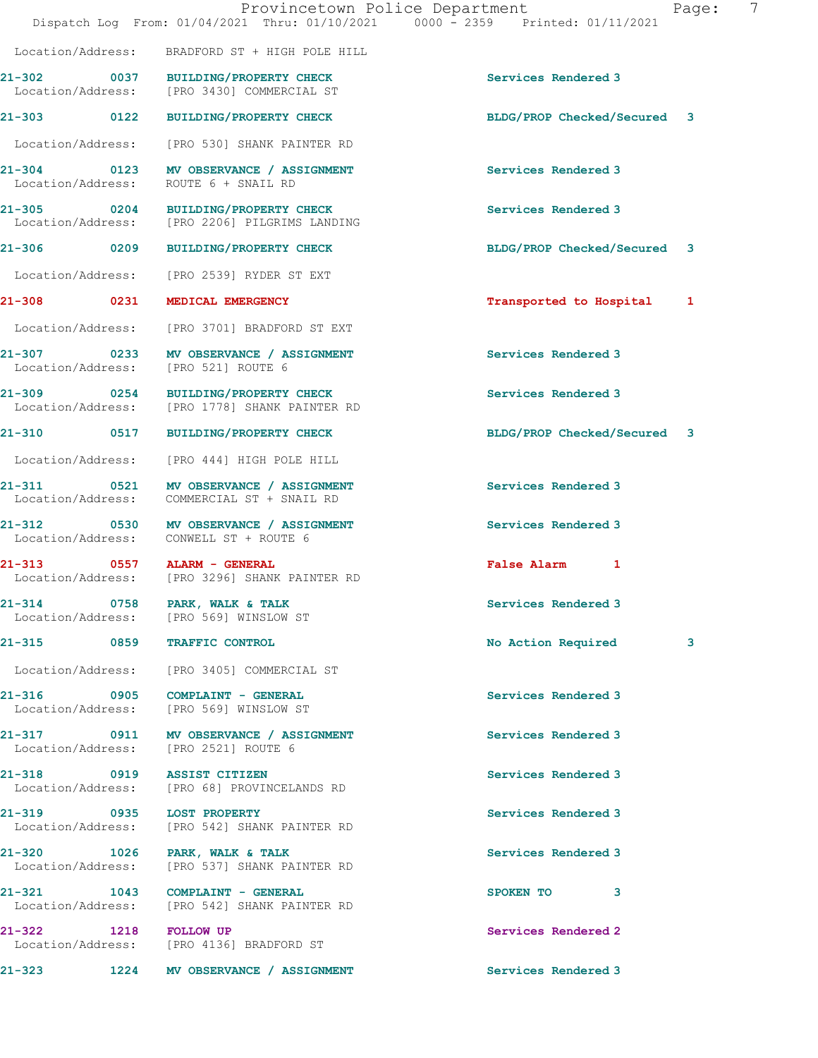|                                                | Dispatch Log From: 01/04/2021 Thru: 01/10/2021 0000 - 2359 Printed: 01/11/2021       | Provincetown Police Department<br>7<br>Page: |
|------------------------------------------------|--------------------------------------------------------------------------------------|----------------------------------------------|
|                                                | Location/Address: BRADFORD ST + HIGH POLE HILL                                       |                                              |
|                                                | 21-302 0037 BUILDING/PROPERTY CHECK<br>Location/Address: [PRO 3430] COMMERCIAL ST    | Services Rendered 3                          |
|                                                | 21-303 0122 BUILDING/PROPERTY CHECK                                                  | BLDG/PROP Checked/Secured 3                  |
|                                                | Location/Address: [PRO 530] SHANK PAINTER RD                                         |                                              |
| Location/Address:                              | 21-304 0123 MV OBSERVANCE / ASSIGNMENT<br>ROUTE 6 + SNAIL RD                         | Services Rendered 3                          |
|                                                | 21-305 0204 BUILDING/PROPERTY CHECK<br>Location/Address: [PRO 2206] PILGRIMS LANDING | Services Rendered 3                          |
|                                                | 21-306 0209 BUILDING/PROPERTY CHECK                                                  | BLDG/PROP Checked/Secured 3                  |
|                                                | Location/Address: [PRO 2539] RYDER ST EXT                                            |                                              |
| 21-308 0231 MEDICAL EMERGENCY                  |                                                                                      | Transported to Hospital<br>$\mathbf{1}$      |
|                                                | Location/Address: [PRO 3701] BRADFORD ST EXT                                         |                                              |
| Location/Address: [PRO 521] ROUTE 6            | 21-307 0233 MV OBSERVANCE / ASSIGNMENT                                               | Services Rendered 3                          |
|                                                | 21-309 0254 BUILDING/PROPERTY CHECK<br>Location/Address: [PRO 1778] SHANK PAINTER RD | Services Rendered 3                          |
|                                                | 21-310 0517 BUILDING/PROPERTY CHECK                                                  | BLDG/PROP Checked/Secured 3                  |
|                                                | Location/Address: [PRO 444] HIGH POLE HILL                                           |                                              |
| Location/Address:                              | 21-311 0521 MV OBSERVANCE / ASSIGNMENT<br>COMMERCIAL ST + SNAIL RD                   | Services Rendered 3                          |
| 21-312                                         | 0530 MV OBSERVANCE / ASSIGNMENT<br>Location/Address: CONWELL ST + ROUTE 6            | Services Rendered 3                          |
| 21-313 0557 ALARM - GENERAL                    | Location/Address: [PRO 3296] SHANK PAINTER RD                                        | False Alarm 1                                |
| 21-314 0758 PARK, WALK & TALK                  | Location/Address: [PRO 569] WINSLOW ST                                               | Services Rendered 3                          |
| 21-315 0859 TRAFFIC CONTROL                    |                                                                                      | No Action Required<br>3                      |
| Location/Address:                              | [PRO 3405] COMMERCIAL ST                                                             |                                              |
|                                                | 21-316 0905 COMPLAINT - GENERAL<br>Location/Address: [PRO 569] WINSLOW ST            | Services Rendered 3                          |
|                                                | 21-317 0911 MV OBSERVANCE / ASSIGNMENT<br>Location/Address: [PRO 2521] ROUTE 6       | Services Rendered 3                          |
| 21-318                                         | 0919 ASSIST CITIZEN<br>Location/Address: [PRO 68] PROVINCELANDS RD                   | Services Rendered 3                          |
| 21-319 0935 LOST PROPERTY<br>Location/Address: | [PRO 542] SHANK PAINTER RD                                                           | Services Rendered 3                          |
| 21-320 1026 PARK, WALK & TALK                  | Location/Address: [PRO 537] SHANK PAINTER RD                                         | Services Rendered 3                          |
|                                                | 21-321 1043 COMPLAINT - GENERAL<br>Location/Address: [PRO 542] SHANK PAINTER RD      | SPOKEN TO<br>3                               |
| 21-322 1218 FOLLOW UP                          | Location/Address: [PRO 4136] BRADFORD ST                                             | Services Rendered 2                          |
| 21-323                                         | 1224 MV OBSERVANCE / ASSIGNMENT                                                      | Services Rendered 3                          |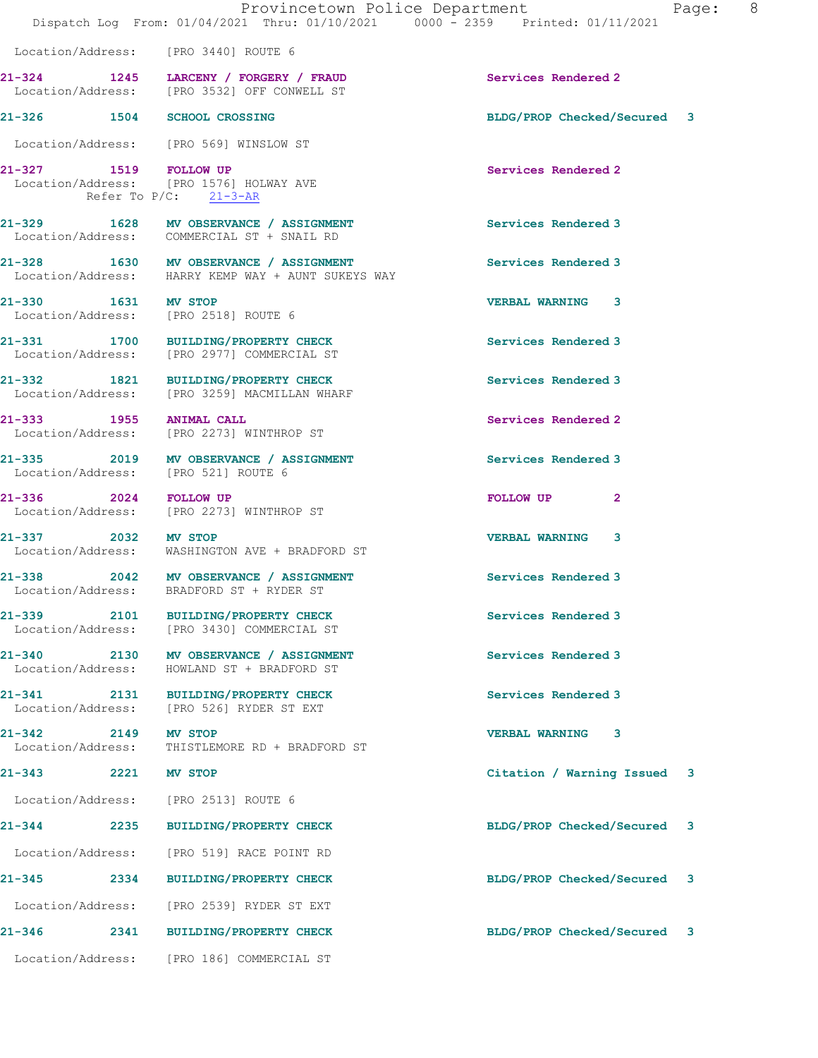|                                         | Dispatch Log From: 01/04/2021 Thru: 01/10/2021 0000 - 2359 Printed: 01/11/2021                 | Provincetown Police Department<br>Page: | 8 <sup>8</sup> |
|-----------------------------------------|------------------------------------------------------------------------------------------------|-----------------------------------------|----------------|
|                                         | Location/Address: [PRO 3440] ROUTE 6                                                           |                                         |                |
|                                         | 21-324 1245 LARCENY / FORGERY / FRAUD<br>Location/Address: [PRO 3532] OFF CONWELL ST           | Services Rendered 2                     |                |
| 21-326 1504 SCHOOL CROSSING             |                                                                                                | BLDG/PROP Checked/Secured 3             |                |
|                                         | Location/Address: [PRO 569] WINSLOW ST                                                         |                                         |                |
|                                         | 21-327 1519 FOLLOW UP<br>Location/Address: [PRO 1576] HOLWAY AVE<br>Refer To $P/C$ : $21-3-AR$ | Services Rendered 2                     |                |
|                                         | 21-329 1628 MV OBSERVANCE / ASSIGNMENT<br>Location/Address: COMMERCIAL ST + SNAIL RD           | Services Rendered 3                     |                |
|                                         | 21-328 1630 MV OBSERVANCE / ASSIGNMENT<br>Location/Address: HARRY KEMP WAY + AUNT SUKEYS WAY   | Services Rendered 3                     |                |
| 21-330 1631 MV STOP                     | Location/Address: [PRO 2518] ROUTE 6                                                           | <b>VERBAL WARNING 3</b>                 |                |
|                                         | 21-331 1700 BUILDING/PROPERTY CHECK<br>Location/Address: [PRO 2977] COMMERCIAL ST              | Services Rendered 3                     |                |
|                                         | 21-332 1821 BUILDING/PROPERTY CHECK<br>Location/Address: [PRO 3259] MACMILLAN WHARF            | Services Rendered 3                     |                |
| 21-333 1955 ANIMAL CALL                 | Location/Address: [PRO 2273] WINTHROP ST                                                       | Services Rendered 2                     |                |
|                                         | 21-335 2019 MV OBSERVANCE / ASSIGNMENT<br>Location/Address: [PRO 521] ROUTE 6                  | Services Rendered 3                     |                |
|                                         | 21-336 2024 FOLLOW UP<br>Location/Address: [PRO 2273] WINTHROP ST                              | FOLLOW UP<br>$\mathbf{2}$               |                |
| 21-337 2032 MV STOP                     | Location/Address: WASHINGTON AVE + BRADFORD ST                                                 | <b>VERBAL WARNING 3</b>                 |                |
|                                         | 21-338 2042 MV OBSERVANCE / ASSIGNMENT<br>Location/Address: BRADFORD ST + RYDER ST             | <b>Services Rendered 3</b>              |                |
| 21–339 2101<br>Location/Address:        | <b>BUILDING/PROPERTY CHECK</b><br>[PRO 3430] COMMERCIAL ST                                     | Services Rendered 3                     |                |
| 21-340 2130<br>Location/Address:        | MV OBSERVANCE / ASSIGNMENT<br>HOWLAND ST + BRADFORD ST                                         | Services Rendered 3                     |                |
| $21 - 341$<br>2131<br>Location/Address: | <b>BUILDING/PROPERTY CHECK</b><br>[PRO 526] RYDER ST EXT                                       | Services Rendered 3                     |                |
| $21 - 342$<br>2149<br>Location/Address: | MV STOP<br>THISTLEMORE RD + BRADFORD ST                                                        | <b>VERBAL WARNING</b><br>3              |                |

21-343 2221 MV STOP Citation / Warning Issued 3

Location/Address: [PRO 2513] ROUTE 6

21-344 2235 BUILDING/PROPERTY CHECK BLDG/PROP Checked/Secured 3

Location/Address: [PRO 519] RACE POINT RD

Location/Address: [PRO 2539] RYDER ST EXT

21-346 2341 BUILDING/PROPERTY CHECK BLDG/PROP Checked/Secured 3

Location/Address: [PRO 186] COMMERCIAL ST

21-345 2334 BUILDING/PROPERTY CHECK BLDG/PROP Checked/Secured 3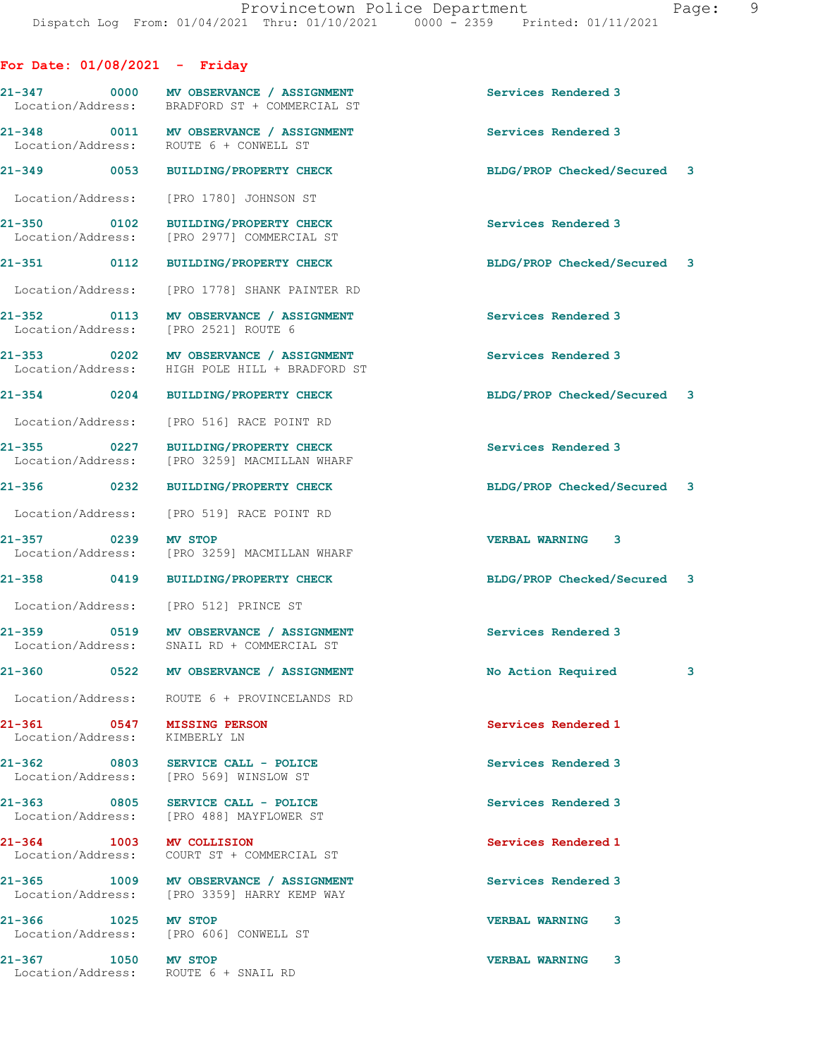For Date: 01/08/2021 - Friday 21-347 0000 MV OBSERVANCE / ASSIGNMENT Services Rendered 3<br>
Location/Address: BRADFORD ST + COMMERCIAL ST BRADFORD ST + COMMERCIAL ST 21-348 0011 MV OBSERVANCE / ASSIGNMENT Services Rendered 3<br>
Location/Address: ROUTE 6 + CONWELL ST ROUTE 6 + CONWELL ST 21-349 0053 BUILDING/PROPERTY CHECK BLDG/PROP Checked/Secured 3 Location/Address: [PRO 1780] JOHNSON ST 21-350 0102 BUILDING/PROPERTY CHECK Services Rendered 3 Location/Address: [PRO 2977] COMMERCIAL ST 21-351 0112 BUILDING/PROPERTY CHECK BLDG/PROP Checked/Secured 3 Location/Address: [PRO 1778] SHANK PAINTER RD 21-352 0113 MV OBSERVANCE / ASSIGNMENT Services Rendered 3 Location/Address: [PRO 2521] ROUTE 6 21-353 0202 MV OBSERVANCE / ASSIGNMENT Services Rendered 3 Location/Address: HIGH POLE HILL + BRADFORD ST 21-354 0204 BUILDING/PROPERTY CHECK BLDG/PROP Checked/Secured 3 Location/Address: [PRO 516] RACE POINT RD 21-355 0227 BUILDING/PROPERTY CHECK Services Rendered 3 Location/Address: [PRO 3259] MACMILLAN WHARF 21-356 0232 BUILDING/PROPERTY CHECK BLDG/PROP Checked/Secured 3 Location/Address: [PRO 519] RACE POINT RD 21-357 0239 MV STOP VERBAL WARNING 3 Location/Address: [PRO 3259] MACMILLAN WHARF 21-358 0419 BUILDING/PROPERTY CHECK BLDG/PROP Checked/Secured 3 Location/Address: [PRO 512] PRINCE ST 21-359 0519 MV OBSERVANCE / ASSIGNMENT Services Rendered 3 Location/Address: SNAIL RD + COMMERCIAL ST 21-360 0522 MV OBSERVANCE / ASSIGNMENT No Action Required 3 Location/Address: ROUTE 6 + PROVINCELANDS RD 21-361 0547 MISSING PERSON Services Rendered 1 Location/Address: KIMBERLY LN 21-362 0803 SERVICE CALL - POLICE Services Rendered 3 Location/Address: [PRO 569] WINSLOW ST 21-363 0805 SERVICE CALL - POLICE CALL SERVICE SERVICE SERVICE SERVICE SERVICE SERVICE SERVICE SERVICE SERVICE<br>
Services Rendered 3<br>
Location/Address: [PRO 488] MAYFLOWER ST Location/Address: 21-364 1003 MV COLLISION Services Rendered 1 Location/Address: COURT ST + COMMERCIAL ST 21-365 1009 MV OBSERVANCE / ASSIGNMENT Services Rendered 3 Location/Address: [PRO 3359] HARRY KEMP WAY 21-366 1025 MV STOP VERBAL WARNING 3 Location/Address: [PRO 606] CONWELL ST 21-367 1050 MV STOP VERBAL WARNING 3 Location/Address: ROUTE 6 + SNAIL RD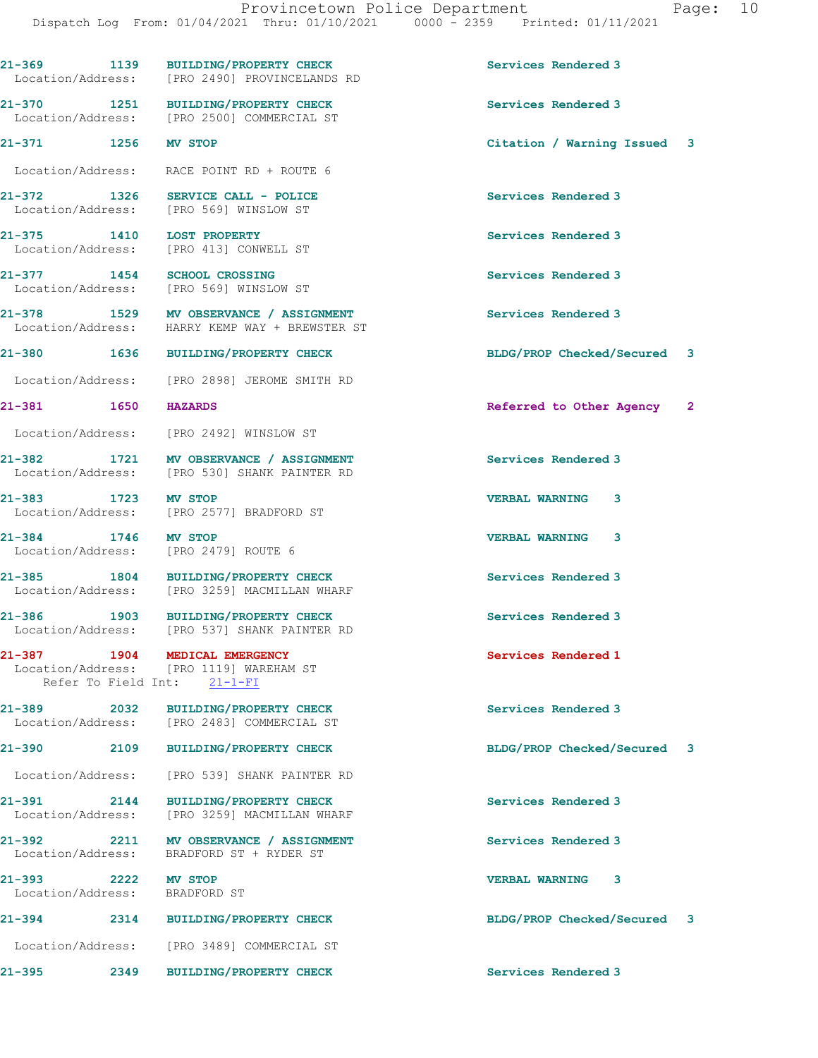21-369 1139 BUILDING/PROPERTY CHECK Services Rendered 3 Location/Address: [PRO 2490] PROVINCELANDS RD 21-370 1251 BUILDING/PROPERTY CHECK Services Rendered 3<br>
Location/Address: [PRO 2500] COMMERCIAL ST [PRO 2500] COMMERCIAL ST 21-371 1256 MV STOP Citation / Warning Issued 3 Location/Address: RACE POINT RD + ROUTE 6 21-372 1326 SERVICE CALL - POLICE SERVICE SERVICE Services Rendered 3<br>
Location/Address: [PRO 569] WINSLOW ST Location/Address: 21-375 1410 LOST PROPERTY Services Rendered 3 Location/Address: [PRO 413] CONWELL ST 21-377 1454 SCHOOL CROSSING Services Rendered 3 Location/Address: [PRO 569] WINSLOW ST 21-378 1529 MV OBSERVANCE / ASSIGNMENT Services Rendered 3 Location/Address: HARRY KEMP WAY + BREWSTER ST 21-380 1636 BUILDING/PROPERTY CHECK BLDG/PROP Checked/Secured 3 Location/Address: [PRO 2898] JEROME SMITH RD 21-381 1650 HAZARDS 20 and the Referred to Other Agency 2 Location/Address: [PRO 2492] WINSLOW ST 21-382 1721 MV OBSERVANCE / ASSIGNMENT Services Rendered 3 Location/Address: [PRO 530] SHANK PAINTER RD 21-383 1723 MV STOP VERBAL WARNING 3 Location/Address: [PRO 2577] BRADFORD ST 21-384 1746 MV STOP VERBAL WARNING 3 Location/Address: [PRO 2479] ROUTE 6 21-385 1804 BUILDING/PROPERTY CHECK Services Rendered 3 Location/Address: [PRO 3259] MACMILLAN WHARF 21-386 1903 BUILDING/PROPERTY CHECK Services Rendered 3 Location/Address: [PRO 537] SHANK PAINTER RD 21-387 1904 MEDICAL EMERGENCY Services Rendered 1 Location/Address: [PRO 1119] WAREHAM ST Refer To Field Int: 21-1-FI 21-389 2032 BUILDING/PROPERTY CHECK Services Rendered 3 Location/Address: [PRO 2483] COMMERCIAL ST 21-390 2109 BUILDING/PROPERTY CHECK BLDG/PROP Checked/Secured 3 Location/Address: [PRO 539] SHANK PAINTER RD 21-391 2144 BUILDING/PROPERTY CHECK Services Rendered 3 Location/Address: [PRO 3259] MACMILLAN WHARF 21-392 2211 MV OBSERVANCE / ASSIGNMENT Services Rendered 3 Location/Address: BRADFORD ST + RYDER ST 21-393 2222 MV STOP 2008 2222 MV STOP 2010 2010 2021 21-393 VERBAL WARNING 3 Location/Address: 21-394 2314 BUILDING/PROPERTY CHECK BLDG/PROP Checked/Secured 3 Location/Address: [PRO 3489] COMMERCIAL ST 21-395 2349 BUILDING/PROPERTY CHECK Services Rendered 3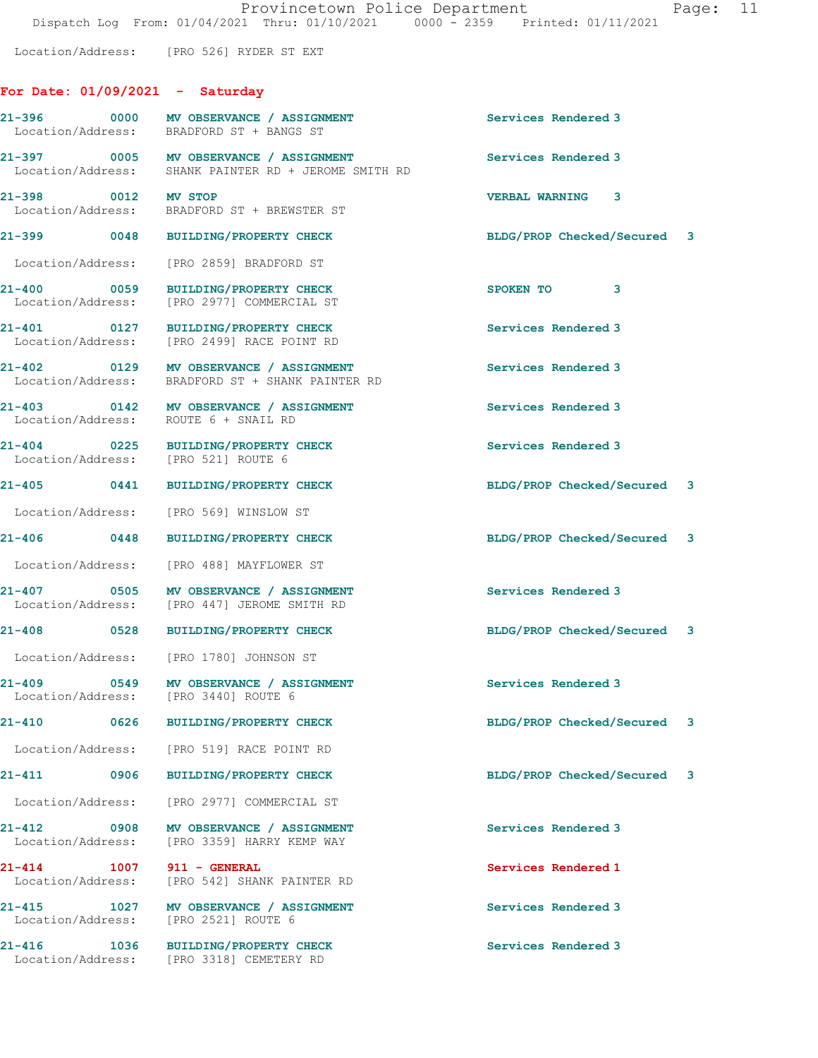Location/Address: [PRO 526] RYDER ST EXT

## For Date: 01/09/2021 - Saturday

| 21-396 0000<br>Location/Address:                       | MV OBSERVANCE / ASSIGNMENT<br>BRADFORD ST + BANGS ST                                           | Services Rendered 3         |  |
|--------------------------------------------------------|------------------------------------------------------------------------------------------------|-----------------------------|--|
|                                                        | 21-397 0005 MV OBSERVANCE / ASSIGNMENT<br>Location/Address: SHANK PAINTER RD + JEROME SMITH RD | Services Rendered 3         |  |
| 21-398 0012 MV STOP                                    | Location/Address: BRADFORD ST + BREWSTER ST                                                    | <b>VERBAL WARNING 3</b>     |  |
| 21-399 0048                                            | <b>BUILDING/PROPERTY CHECK</b>                                                                 | BLDG/PROP Checked/Secured 3 |  |
| Location/Address:                                      | [PRO 2859] BRADFORD ST                                                                         |                             |  |
| 21-400 0059<br>Location/Address:                       | BUILDING/PROPERTY CHECK<br>[PRO 2977] COMMERCIAL ST                                            | SPOKEN TO<br>3              |  |
| 21-401 0127                                            | BUILDING/PROPERTY CHECK<br>Location/Address: [PRO 2499] RACE POINT RD                          | Services Rendered 3         |  |
|                                                        | 21-402 0129 MV OBSERVANCE / ASSIGNMENT<br>Location/Address: BRADFORD ST + SHANK PAINTER RD     | Services Rendered 3         |  |
| Location/Address: ROUTE 6 + SNAIL RD                   | 21-403 0142 MV OBSERVANCE / ASSIGNMENT                                                         | Services Rendered 3         |  |
| $21 - 404$ 0225<br>Location/Address: [PRO 521] ROUTE 6 | <b>BUILDING/PROPERTY CHECK</b>                                                                 | Services Rendered 3         |  |
|                                                        | 21-405 0441 BUILDING/PROPERTY CHECK                                                            | BLDG/PROP Checked/Secured 3 |  |
| Location/Address:                                      | [PRO 569] WINSLOW ST                                                                           |                             |  |
| $21 - 406$ 0448                                        | <b>BUILDING/PROPERTY CHECK</b>                                                                 | BLDG/PROP Checked/Secured 3 |  |
|                                                        | Location/Address: [PRO 488] MAYFLOWER ST                                                       |                             |  |
| 21-407 0505<br>Location/Address:                       | MV OBSERVANCE / ASSIGNMENT<br>[PRO 447] JEROME SMITH RD                                        | Services Rendered 3         |  |
| 21-408 0528                                            | BUILDING/PROPERTY CHECK                                                                        | BLDG/PROP Checked/Secured 3 |  |
|                                                        | Location/Address: [PRO 1780] JOHNSON ST                                                        |                             |  |
| 21-409<br>Location/Address: [PRO 3440] ROUTE 6         | 0549 MV OBSERVANCE / ASSIGNMENT                                                                | Services Rendered 3         |  |
| <b>21-410</b><br>0626                                  | <b>BUILDING/PROPERTY CHECK</b>                                                                 | BLDG/PROP Checked/Secured 3 |  |
|                                                        | Location/Address: [PRO 519] RACE POINT RD                                                      |                             |  |
| 21-411<br>0906                                         | <b>BUILDING/PROPERTY CHECK</b>                                                                 | BLDG/PROP Checked/Secured 3 |  |
| Location/Address:                                      | [PRO 2977] COMMERCIAL ST                                                                       |                             |  |
| 21-412 0908<br>Location/Address:                       | MV OBSERVANCE / ASSIGNMENT<br>[PRO 3359] HARRY KEMP WAY                                        | Services Rendered 3         |  |
| 21-414<br>1007<br>Location/Address:                    | 911 - GENERAL<br>[PRO 542] SHANK PAINTER RD                                                    | Services Rendered 1         |  |
| $21 - 415$<br>1027<br>Location/Address:                | MV OBSERVANCE / ASSIGNMENT<br>[PRO 2521] ROUTE 6                                               | Services Rendered 3         |  |
| 21-416<br>1036<br>Location/Address:                    | <b>BUILDING/PROPERTY CHECK</b><br>[PRO 3318] CEMETERY RD                                       | Services Rendered 3         |  |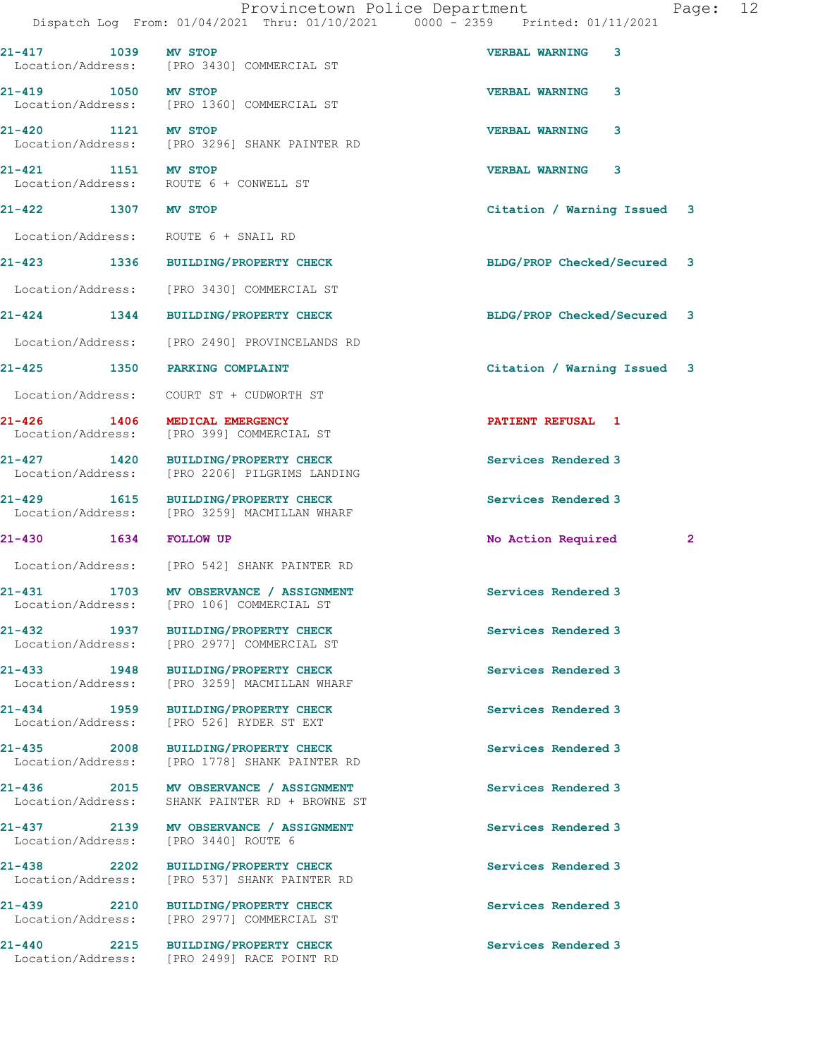|                                     |                                                                                      | Provincetown Police Department<br>12<br>Page:<br>Dispatch Log From: 01/04/2021 Thru: 01/10/2021 0000 - 2359 Printed: 01/11/2021 |
|-------------------------------------|--------------------------------------------------------------------------------------|---------------------------------------------------------------------------------------------------------------------------------|
| $21 - 417$<br>1039                  | <b>MV STOP</b><br>Location/Address: [PRO 3430] COMMERCIAL ST                         | <b>VERBAL WARNING</b><br>3                                                                                                      |
| 21-419 1050 MV STOP                 | Location/Address: [PRO 1360] COMMERCIAL ST                                           | <b>VERBAL WARNING</b><br>3                                                                                                      |
| 21-420 1121 MV STOP                 | Location/Address: [PRO 3296] SHANK PAINTER RD                                        | <b>VERBAL WARNING</b><br>3                                                                                                      |
| 21-421 1151 MV STOP                 | Location/Address: ROUTE 6 + CONWELL ST                                               | <b>VERBAL WARNING</b><br>3                                                                                                      |
| 21-422 1307 MV STOP                 |                                                                                      | Citation / Warning Issued 3                                                                                                     |
|                                     | Location/Address: ROUTE 6 + SNAIL RD                                                 |                                                                                                                                 |
|                                     | 21-423 1336 BUILDING/PROPERTY CHECK                                                  | BLDG/PROP Checked/Secured 3                                                                                                     |
|                                     | Location/Address: [PRO 3430] COMMERCIAL ST                                           |                                                                                                                                 |
|                                     | 21-424 1344 BUILDING/PROPERTY CHECK                                                  | BLDG/PROP Checked/Secured 3                                                                                                     |
| Location/Address:                   | [PRO 2490] PROVINCELANDS RD                                                          |                                                                                                                                 |
| 21-425 1350 PARKING COMPLAINT       |                                                                                      | Citation / Warning Issued 3                                                                                                     |
| Location/Address:                   | COURT ST + CUDWORTH ST                                                               |                                                                                                                                 |
| $21 - 426$ 1406                     | MEDICAL EMERGENCY<br>Location/Address: [PRO 399] COMMERCIAL ST                       | <b>PATIENT REFUSAL 1</b>                                                                                                        |
|                                     | 21-427 1420 BUILDING/PROPERTY CHECK<br>Location/Address: [PRO 2206] PILGRIMS LANDING | Services Rendered 3                                                                                                             |
|                                     | 21-429 1615 BUILDING/PROPERTY CHECK<br>Location/Address: [PRO 3259] MACMILLAN WHARF  | Services Rendered 3                                                                                                             |
| 21-430   1634   FOLLOW UP           |                                                                                      | No Action Required<br>$\mathbf{2}$                                                                                              |
|                                     | Location/Address: [PRO 542] SHANK PAINTER RD                                         |                                                                                                                                 |
| $21 - 431$<br>Location/Address:     | 1703 MV OBSERVANCE / ASSIGNMENT<br>[PRO 106] COMMERCIAL ST                           | Services Rendered 3                                                                                                             |
| 21-432<br>1937<br>Location/Address: | <b>BUILDING/PROPERTY CHECK</b><br>[PRO 2977] COMMERCIAL ST                           | Services Rendered 3                                                                                                             |
| 21-433 1948<br>Location/Address:    | <b>BUILDING/PROPERTY CHECK</b><br>[PRO 3259] MACMILLAN WHARF                         | Services Rendered 3                                                                                                             |
| 21-434 1959<br>Location/Address:    | <b>BUILDING/PROPERTY CHECK</b><br>[PRO 526] RYDER ST EXT                             | Services Rendered 3                                                                                                             |
| Location/Address:                   | 21-435 2008 BUILDING/PROPERTY CHECK<br>[PRO 1778] SHANK PAINTER RD                   | Services Rendered 3                                                                                                             |
| Location/Address:                   | 21-436 2015 MV OBSERVANCE / ASSIGNMENT<br>SHANK PAINTER RD + BROWNE ST               | Services Rendered 3                                                                                                             |
| 21-437 2139<br>Location/Address:    | MV OBSERVANCE / ASSIGNMENT<br>[PRO 3440] ROUTE 6                                     | Services Rendered 3                                                                                                             |
| 21-438 2202<br>Location/Address:    | BUILDING/PROPERTY CHECK<br>[PRO 537] SHANK PAINTER RD                                | Services Rendered 3                                                                                                             |
| 21-439 2210<br>Location/Address:    | <b>BUILDING/PROPERTY CHECK</b><br>[PRO 2977] COMMERCIAL ST                           | Services Rendered 3                                                                                                             |
| 2215<br>21-440                      | <b>BUILDING/PROPERTY CHECK</b>                                                       | Services Rendered 3                                                                                                             |

Location/Address: [PRO 2499] RACE POINT RD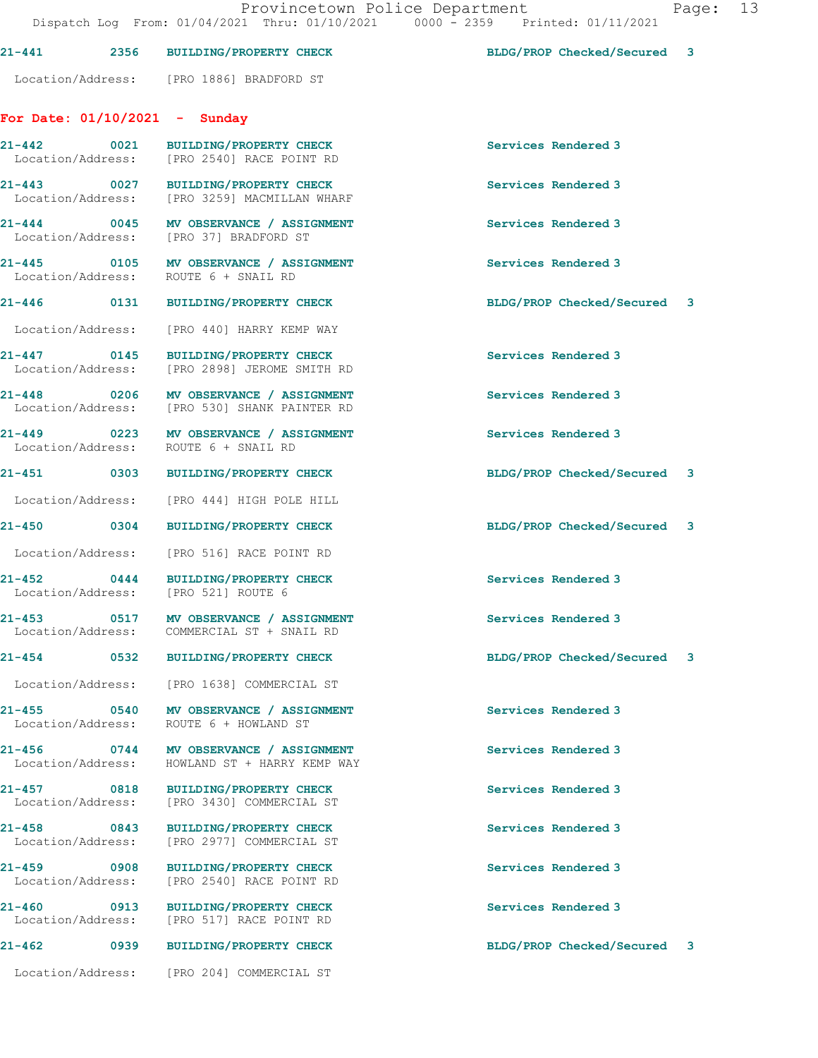|                                                  |                                                                                        | ILOVINCCIONII I CIICO DOPULCINONIC<br>Dispatch Log From: 01/04/2021 Thru: 01/10/2021 0000 - 2359 Printed: 01/11/2021 | $L$ age |
|--------------------------------------------------|----------------------------------------------------------------------------------------|----------------------------------------------------------------------------------------------------------------------|---------|
|                                                  | 21-441 2356 BUILDING/PROPERTY CHECK                                                    | BLDG/PROP Checked/Secured 3                                                                                          |         |
|                                                  | Location/Address: [PRO 1886] BRADFORD ST                                               |                                                                                                                      |         |
| For Date: $01/10/2021$ - Sunday                  |                                                                                        |                                                                                                                      |         |
|                                                  | 21-442 0021 BUILDING/PROPERTY CHECK<br>Location/Address: [PRO 2540] RACE POINT RD      | Services Rendered 3                                                                                                  |         |
|                                                  | 21-443 0027 BUILDING/PROPERTY CHECK<br>Location/Address: [PRO 3259] MACMILLAN WHARF    | Services Rendered 3                                                                                                  |         |
|                                                  | 21-444 0045 MV OBSERVANCE / ASSIGNMENT<br>Location/Address: [PRO 37] BRADFORD ST       | Services Rendered 3                                                                                                  |         |
| 21-445                                           | 0105 MV OBSERVANCE / ASSIGNMENT<br>Location/Address: ROUTE 6 + SNAIL RD                | Services Rendered 3                                                                                                  |         |
|                                                  | 21-446 0131 BUILDING/PROPERTY CHECK                                                    | BLDG/PROP Checked/Secured 3                                                                                          |         |
|                                                  | Location/Address: [PRO 440] HARRY KEMP WAY                                             |                                                                                                                      |         |
|                                                  | 21-447 0145 BUILDING/PROPERTY CHECK<br>Location/Address: [PRO 2898] JEROME SMITH RD    | Services Rendered 3                                                                                                  |         |
|                                                  | 21-448 0206 MV OBSERVANCE / ASSIGNMENT<br>Location/Address: [PRO 530] SHANK PAINTER RD | Services Rendered 3                                                                                                  |         |
|                                                  | 21-449 0223 MV OBSERVANCE / ASSIGNMENT<br>Location/Address: ROUTE 6 + SNAIL RD         | Services Rendered 3                                                                                                  |         |
|                                                  | 21-451 0303 BUILDING/PROPERTY CHECK                                                    | BLDG/PROP Checked/Secured 3                                                                                          |         |
|                                                  | Location/Address: [PRO 444] HIGH POLE HILL                                             |                                                                                                                      |         |
| 21-450 0304                                      | <b>BUILDING/PROPERTY CHECK</b>                                                         | BLDG/PROP Checked/Secured 3                                                                                          |         |
|                                                  | Location/Address: [PRO 516] RACE POINT RD                                              |                                                                                                                      |         |
| 21-452                                           | 0444 BUILDING/PROPERTY CHECK<br>Location/Address: [PRO 521] ROUTE 6                    | Services Rendered 3                                                                                                  |         |
| $21 - 453$<br>0517<br>Location/Address:          | MV OBSERVANCE / ASSIGNMENT<br>COMMERCIAL ST + SNAIL RD                                 | Services Rendered 3                                                                                                  |         |
| 21-454<br>0532                                   | <b>BUILDING/PROPERTY CHECK</b>                                                         | BLDG/PROP Checked/Secured 3                                                                                          |         |
| Location/Address:                                | [PRO 1638] COMMERCIAL ST                                                               |                                                                                                                      |         |
| 21-455<br>$\sim$ 0540<br>Location/Address:       | MV OBSERVANCE / ASSIGNMENT<br>ROUTE 6 + HOWLAND ST                                     | Services Rendered 3                                                                                                  |         |
| 21-456<br>$\overline{0744}$<br>Location/Address: | MV OBSERVANCE / ASSIGNMENT<br>HOWLAND ST + HARRY KEMP WAY                              | Services Rendered 3                                                                                                  |         |
| 21-457<br>0818<br>Location/Address:              | <b>BUILDING/PROPERTY CHECK</b><br>[PRO 3430] COMMERCIAL ST                             | Services Rendered 3                                                                                                  |         |
| 21-458<br>$\sim$ 0843<br>Location/Address:       | <b>BUILDING/PROPERTY CHECK</b><br>[PRO 2977] COMMERCIAL ST                             | Services Rendered 3                                                                                                  |         |
| 21-459<br>$\sim$ 0908<br>Location/Address:       | <b>BUILDING/PROPERTY CHECK</b><br>[PRO 2540] RACE POINT RD                             | Services Rendered 3                                                                                                  |         |
| 21-460<br>0913<br>Location/Address:              | <b>BUILDING/PROPERTY CHECK</b><br>[PRO 517] RACE POINT RD                              | Services Rendered 3                                                                                                  |         |
| $21 - 462$<br>0939                               | <b>BUILDING/PROPERTY CHECK</b>                                                         | BLDG/PROP Checked/Secured 3                                                                                          |         |
| Location/Address:                                | [PRO 204] COMMERCIAL ST                                                                |                                                                                                                      |         |

Provincetown Police Department Page: 13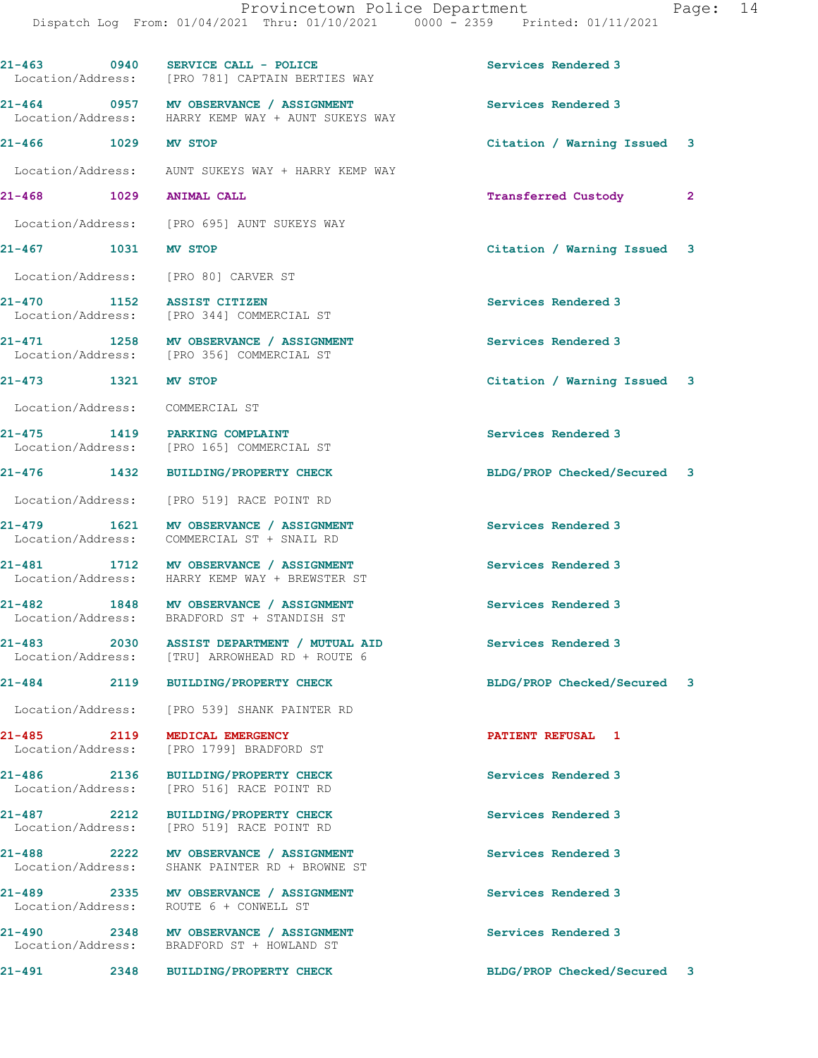| 21-463 0940                             | SERVICE CALL - POLICE<br>Location/Address: [PRO 781] CAPTAIN BERTIES WAY                     | Services Rendered 3                    |  |
|-----------------------------------------|----------------------------------------------------------------------------------------------|----------------------------------------|--|
|                                         | 21-464 0957 MV OBSERVANCE / ASSIGNMENT<br>Location/Address: HARRY KEMP WAY + AUNT SUKEYS WAY | Services Rendered 3                    |  |
| 21-466 1029 MV STOP                     |                                                                                              | Citation / Warning Issued 3            |  |
| Location/Address:                       | AUNT SUKEYS WAY + HARRY KEMP WAY                                                             |                                        |  |
| 21-468 1029                             | <b>ANIMAL CALL</b>                                                                           | <b>Transferred Custody</b><br>$\sim$ 2 |  |
|                                         | Location/Address: [PRO 695] AUNT SUKEYS WAY                                                  |                                        |  |
| 21-467 1031                             | <b>MV STOP</b>                                                                               | Citation / Warning Issued 3            |  |
|                                         | Location/Address: [PRO 80] CARVER ST                                                         |                                        |  |
| 1152<br>21-470                          | <b>ASSIST CITIZEN</b><br>Location/Address: [PRO 344] COMMERCIAL ST                           | Services Rendered 3                    |  |
|                                         | 21-471 1258 MV OBSERVANCE / ASSIGNMENT<br>Location/Address: [PRO 356] COMMERCIAL ST          | Services Rendered 3                    |  |
| 21-473 1321 MV STOP                     |                                                                                              | Citation / Warning Issued 3            |  |
| Location/Address:                       | COMMERCIAL ST                                                                                |                                        |  |
|                                         | 21-475 1419 PARKING COMPLAINT<br>Location/Address: [PRO 165] COMMERCIAL ST                   | Services Rendered 3                    |  |
| 21-476 1432                             | <b>BUILDING/PROPERTY CHECK</b>                                                               | BLDG/PROP Checked/Secured 3            |  |
| Location/Address:                       | [PRO 519] RACE POINT RD                                                                      |                                        |  |
| 1621<br>21-479<br>Location/Address:     | MV OBSERVANCE / ASSIGNMENT<br>COMMERCIAL ST + SNAIL RD                                       | Services Rendered 3                    |  |
|                                         | 21-481 1712 MV OBSERVANCE / ASSIGNMENT<br>Location/Address: HARRY KEMP WAY + BREWSTER ST     | Services Rendered 3                    |  |
| 21-482                                  | 1848 MV OBSERVANCE / ASSIGNMENT<br>Location/Address: BRADFORD ST + STANDISH ST               | Services Rendered 3                    |  |
| 21-483<br>2030                          | ASSIST DEPARTMENT / MUTUAL AID<br>Location/Address: [TRU] ARROWHEAD RD + ROUTE 6             | Services Rendered 3                    |  |
| 21-484<br>2119                          | <b>BUILDING/PROPERTY CHECK</b>                                                               | BLDG/PROP Checked/Secured 3            |  |
|                                         | Location/Address: [PRO 539] SHANK PAINTER RD                                                 |                                        |  |
| $21 - 485$<br>2119<br>Location/Address: | MEDICAL EMERGENCY<br>[PRO 1799] BRADFORD ST                                                  | PATIENT REFUSAL 1                      |  |
| 21-486 2136<br>Location/Address:        | <b>BUILDING/PROPERTY CHECK</b><br>[PRO 516] RACE POINT RD                                    | Services Rendered 3                    |  |
| $21 - 487$ 2212<br>Location/Address:    | <b>BUILDING/PROPERTY CHECK</b><br>[PRO 519] RACE POINT RD                                    | Services Rendered 3                    |  |
| 21-488                                  | 2222 MV OBSERVANCE / ASSIGNMENT<br>Location/Address: SHANK PAINTER RD + BROWNE ST            | Services Rendered 3                    |  |
| Location/Address:                       | 21-489 2335 MV OBSERVANCE / ASSIGNMENT<br>ROUTE 6 + CONWELL ST                               | Services Rendered 3                    |  |
| 21-490                                  | 2348 MV OBSERVANCE / ASSIGNMENT<br>Location/Address: BRADFORD ST + HOWLAND ST                | Services Rendered 3                    |  |
| 21-491<br>2348                          | <b>BUILDING/PROPERTY CHECK</b>                                                               | BLDG/PROP Checked/Secured 3            |  |